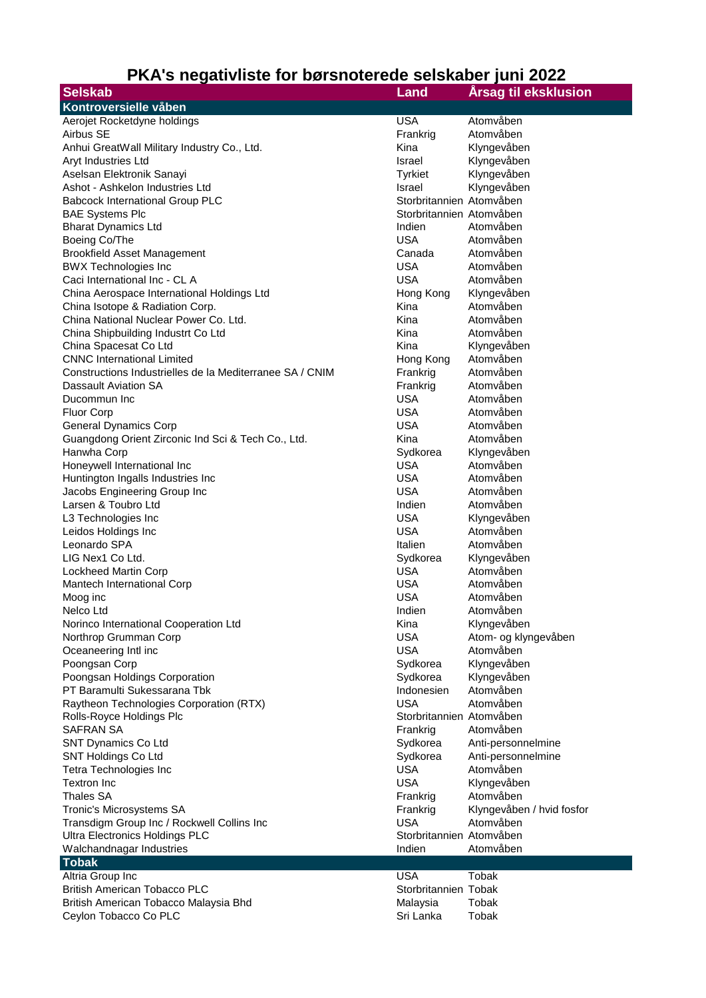## **PKA's negativliste for børsnoterede selskaber juni 2022**

| <b>Selskab</b>                                           | Land                     | <b>Arsag til eksklusion</b> |
|----------------------------------------------------------|--------------------------|-----------------------------|
| Kontroversielle våben                                    |                          |                             |
| Aerojet Rocketdyne holdings                              | <b>USA</b>               | Atomvåben                   |
| Airbus SE                                                | Frankrig                 | Atomvåben                   |
| Anhui GreatWall Military Industry Co., Ltd.              | Kina                     | Klyngevåben                 |
| Aryt Industries Ltd                                      | Israel                   | Klyngevåben                 |
| Aselsan Elektronik Sanayi                                | <b>Tyrkiet</b>           | Klyngevåben                 |
| Ashot - Ashkelon Industries Ltd                          | Israel                   | Klyngevåben                 |
| <b>Babcock International Group PLC</b>                   | Storbritannien Atomvåben |                             |
| <b>BAE Systems Plc</b>                                   | Storbritannien Atomvåben |                             |
| <b>Bharat Dynamics Ltd</b>                               | Indien                   | Atomvåben                   |
| Boeing Co/The                                            | <b>USA</b>               | Atomvåben                   |
| <b>Brookfield Asset Management</b>                       | Canada                   | Atomvåben                   |
| <b>BWX Technologies Inc</b>                              | <b>USA</b>               | Atomvåben                   |
| Caci International Inc - CL A                            | <b>USA</b>               | Atomvåben                   |
| China Aerospace International Holdings Ltd               | Hong Kong                | Klyngevåben                 |
| China Isotope & Radiation Corp.                          | Kina                     | Atomvåben                   |
| China National Nuclear Power Co. Ltd.                    | Kina                     | Atomvåben                   |
| China Shipbuilding Industrt Co Ltd                       | Kina                     | Atomvåben                   |
| China Spacesat Co Ltd                                    | Kina                     | Klyngevåben                 |
| <b>CNNC</b> International Limited                        | Hong Kong                | Atomvåben                   |
| Constructions Industrielles de la Mediterranee SA / CNIM | Frankrig                 | Atomvåben                   |
| Dassault Aviation SA                                     | Frankrig                 | Atomvåben                   |
| Ducommun Inc                                             | <b>USA</b>               | Atomvåben                   |
| Fluor Corp                                               | <b>USA</b>               | Atomvåben                   |
| <b>General Dynamics Corp</b>                             | <b>USA</b>               | Atomvåben                   |
| Guangdong Orient Zirconic Ind Sci & Tech Co., Ltd.       | Kina                     | Atomvåben                   |
| Hanwha Corp                                              | Sydkorea                 | Klyngevåben                 |
| Honeywell International Inc                              | <b>USA</b>               | Atomvåben                   |
| Huntington Ingalls Industries Inc                        | <b>USA</b>               | Atomvåben                   |
| Jacobs Engineering Group Inc                             | <b>USA</b>               | Atomvåben                   |
| Larsen & Toubro Ltd                                      | Indien                   | Atomvåben                   |
| L3 Technologies Inc                                      | <b>USA</b>               | Klyngevåben                 |
| Leidos Holdings Inc                                      | <b>USA</b>               | Atomvåben                   |
| Leonardo SPA                                             | Italien                  | Atomvåben                   |
| LIG Nex1 Co Ltd.                                         | Sydkorea                 | Klyngevåben                 |
| Lockheed Martin Corp                                     | <b>USA</b>               | Atomvåben                   |
| Mantech International Corp                               | <b>USA</b>               | Atomvåben                   |
| Moog inc                                                 | <b>USA</b>               | Atomvåben                   |
| Nelco Ltd                                                | Indien                   | Atomvåben                   |
| Norinco International Cooperation Ltd                    | Kina                     | Klyngevåben                 |
| Northrop Grumman Corp                                    | <b>USA</b>               | Atom- og klyngevåben        |
| Oceaneering Intl inc                                     | <b>USA</b>               | Atomvåben                   |
| Poongsan Corp                                            | Sydkorea                 | Klyngevåben                 |
| Poongsan Holdings Corporation                            | Sydkorea                 | Klyngevåben                 |
| PT Baramulti Sukessarana Tbk                             | Indonesien               | Atomvåben                   |
| Raytheon Technologies Corporation (RTX)                  | <b>USA</b>               | Atomvåben                   |
| Rolls-Royce Holdings Plc                                 | Storbritannien Atomvåben |                             |
| <b>SAFRAN SA</b>                                         | Frankrig                 | Atomvåben                   |
| SNT Dynamics Co Ltd                                      | Sydkorea                 | Anti-personnelmine          |
| SNT Holdings Co Ltd                                      | Sydkorea                 | Anti-personnelmine          |
| Tetra Technologies Inc                                   | <b>USA</b>               | Atomvåben                   |
| <b>Textron Inc</b>                                       | <b>USA</b>               | Klyngevåben                 |
| <b>Thales SA</b>                                         | Frankrig                 | Atomvåben                   |
| Tronic's Microsystems SA                                 | Frankrig                 | Klyngevåben / hvid fosfor   |
| Transdigm Group Inc / Rockwell Collins Inc               | <b>USA</b>               | Atomvåben                   |
| Ultra Electronics Holdings PLC                           | Storbritannien Atomvåben |                             |
| Walchandnagar Industries                                 | Indien                   | Atomvåben                   |
|                                                          |                          |                             |
| <b>Tobak</b>                                             | <b>USA</b>               |                             |
| Altria Group Inc                                         |                          | Tobak                       |
| <b>British American Tobacco PLC</b>                      | Storbritannien Tobak     |                             |
| British American Tobacco Malaysia Bhd                    | Malaysia                 | Tobak                       |
| Ceylon Tobacco Co PLC                                    | Sri Lanka                | Tobak                       |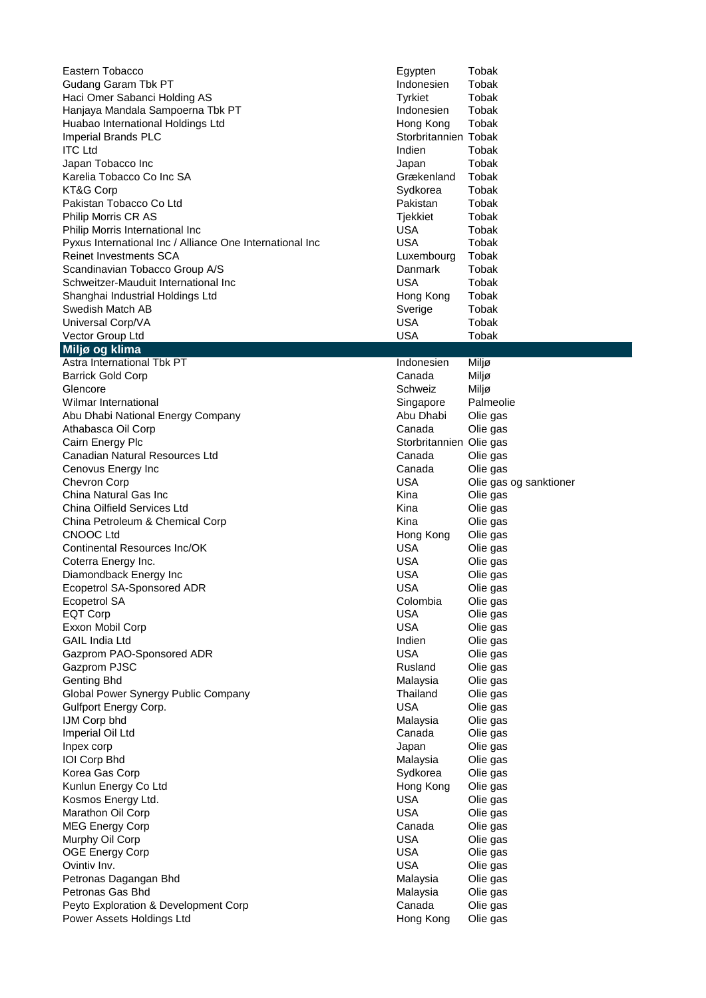| Eastern Tobacco                                          | Egypten                 | Tobak                  |
|----------------------------------------------------------|-------------------------|------------------------|
| Gudang Garam Tbk PT                                      | Indonesien              | Tobak                  |
| Haci Omer Sabanci Holding AS                             | Tyrkiet                 | Tobak                  |
| Hanjaya Mandala Sampoerna Tbk PT                         | Indonesien              | Tobak                  |
| Huabao International Holdings Ltd                        | Hong Kong               | Tobak                  |
| <b>Imperial Brands PLC</b>                               | Storbritannien Tobak    |                        |
| <b>ITC Ltd</b>                                           | Indien                  | Tobak                  |
| Japan Tobacco Inc                                        | Japan                   | Tobak                  |
| Karelia Tobacco Co Inc SA                                | Grækenland              | Tobak                  |
| KT&G Corp                                                | Sydkorea                | Tobak                  |
| Pakistan Tobacco Co Ltd                                  | Pakistan                | Tobak                  |
| Philip Morris CR AS                                      | Tjekkiet                | Tobak                  |
| Philip Morris International Inc                          | <b>USA</b>              | Tobak                  |
| Pyxus International Inc / Alliance One International Inc | <b>USA</b>              | Tobak                  |
| Reinet Investments SCA                                   | Luxembourg              | Tobak                  |
| Scandinavian Tobacco Group A/S                           | Danmark                 | Tobak                  |
| Schweitzer-Mauduit International Inc                     | <b>USA</b>              | Tobak                  |
| Shanghai Industrial Holdings Ltd                         | Hong Kong               | Tobak                  |
| Swedish Match AB                                         | Sverige                 | Tobak                  |
| Universal Corp/VA                                        | <b>USA</b>              | <b>Tobak</b>           |
| Vector Group Ltd                                         | <b>USA</b>              | Tobak                  |
| Miljø og klima                                           |                         |                        |
| Astra International Tbk PT                               | Indonesien              | Miljø                  |
| <b>Barrick Gold Corp</b>                                 | Canada                  | Miljø                  |
| Glencore                                                 | Schweiz                 | Miljø                  |
| Wilmar International                                     | Singapore               | Palmeolie              |
| Abu Dhabi National Energy Company                        | Abu Dhabi               | Olie gas               |
| Athabasca Oil Corp                                       | Canada                  | Olie gas               |
| Cairn Energy Plc                                         | Storbritannien Olie gas |                        |
| Canadian Natural Resources Ltd                           | Canada                  | Olie gas               |
| Cenovus Energy Inc                                       | Canada                  | Olie gas               |
| <b>Chevron Corp</b><br>China Natural Gas Inc             | <b>USA</b>              | Olie gas og sanktioner |
|                                                          | Kina                    | Olie gas               |
| China Oilfield Services Ltd                              | Kina                    | Olie gas               |
| China Petroleum & Chemical Corp<br><b>CNOOC Ltd</b>      | Kina                    | Olie gas               |
| Continental Resources Inc/OK                             | Hong Kong<br><b>USA</b> | Olie gas               |
|                                                          | <b>USA</b>              | Olie gas<br>Olie gas   |
| Coterra Energy Inc.<br>Diamondback Energy Inc            | <b>USA</b>              | Olie gas               |
| Ecopetrol SA-Sponsored ADR                               | <b>USA</b>              |                        |
| Ecopetrol SA                                             | Colombia                | Olie gas<br>Olie gas   |
| <b>EQT Corp</b>                                          | <b>USA</b>              | Olie gas               |
| Exxon Mobil Corp                                         | <b>USA</b>              | Olie gas               |
| <b>GAIL India Ltd</b>                                    | Indien                  | Olie gas               |
| Gazprom PAO-Sponsored ADR                                | <b>USA</b>              | Olie gas               |
| Gazprom PJSC                                             | Rusland                 | Olie gas               |
| <b>Genting Bhd</b>                                       | Malaysia                | Olie gas               |
| Global Power Synergy Public Company                      | Thailand                | Olie gas               |
| Gulfport Energy Corp.                                    | <b>USA</b>              | Olie gas               |
| IJM Corp bhd                                             | Malaysia                | Olie gas               |
| Imperial Oil Ltd                                         | Canada                  | Olie gas               |
| Inpex corp                                               | Japan                   | Olie gas               |
| IOI Corp Bhd                                             | Malaysia                | Olie gas               |
| Korea Gas Corp                                           | Sydkorea                | Olie gas               |
| Kunlun Energy Co Ltd                                     | Hong Kong               | Olie gas               |
| Kosmos Energy Ltd.                                       | <b>USA</b>              | Olie gas               |
| Marathon Oil Corp                                        | <b>USA</b>              | Olie gas               |
| <b>MEG Energy Corp</b>                                   | Canada                  | Olie gas               |
| Murphy Oil Corp                                          | <b>USA</b>              | Olie gas               |
| <b>OGE Energy Corp</b>                                   | <b>USA</b>              | Olie gas               |
| Ovintiv Inv.                                             | <b>USA</b>              | Olie gas               |
| Petronas Dagangan Bhd                                    | Malaysia                | Olie gas               |
| Petronas Gas Bhd                                         | Malaysia                | Olie gas               |
| Peyto Exploration & Development Corp                     | Canada                  | Olie gas               |
| Power Assets Holdings Ltd                                | Hong Kong               | Olie gas               |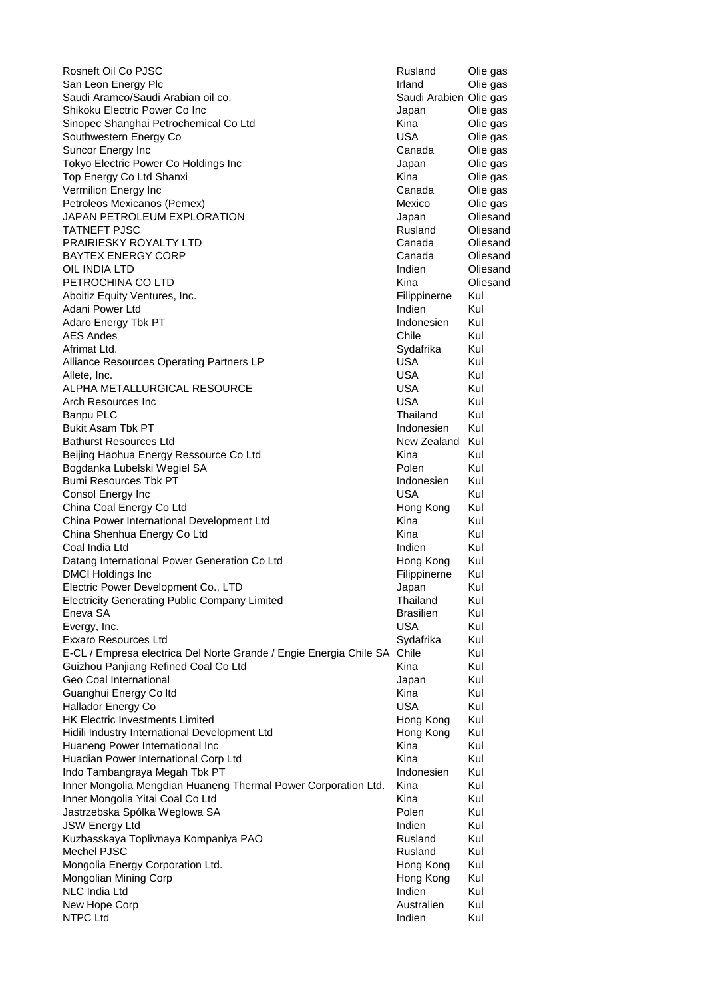Rosneft Oil Co PJSC **Rusland** Olie gas San Leon Energy Plc<br>
Saudi Aramco/Saudi Arabian oil co.<br>
Saudi Arabien Olie gas Saudi Aramco/Saudi Arabian oil co. Shikoku Electric Power Co Inc **Container Community** Shikoku Die gas Sinopec Shanghai Petrochemical Co Ltd **Kina** Kina Olie gas Southwestern Energy Co **New Southwestern Energy Co** Canada Olie gas<br>
Suncor Energy Inc Suncor Energy Inc<br>
Tokyo Electric Power Co Holdings Inc<br>
Tokyo Electric Power Co Holdings Inc<br>
Tokyo Electric Power Co Holdings Inc Tokyo Electric Power Co Holdings Inc **Communist Contract Contract Contract Contract Contract Contract Contract Contract Contract Contract Contract Contract Contract Contract Contract Contract Contract Contract Contract Con** Top Energy Co Ltd Shanxi November 2012 1994 Nina Nina Olie gas Vermilion Energy Inc Canada Olie gas Petroleos Mexicanos (Pemex) and a mexico of the orientation of the orientation of the orientation of the orientation of the orientation of the orientation of the orientation of the orientation of the orientation of the ori JAPAN PETROLEUM EXPLORATION Japan Oliesand TATNEFT PJSC **Rusland** Oliesand Oliesand Oliesand PRAIRIESKY ROYALTY LTD **Canada** Oliesand **BAYTEX ENERGY CORP CANADA CONSTRUCTER CONSTRUCTER CANADA CONSTRUCTER** OIL INDIA LTD **Indien** Oliesand PETROCHINA CO LTD **EXAMPLE 20 INCREASE AND A CONSTRUCT OF A CONSTRUCT OF A CONSTRUCT OF A CONSTRUCT OF A CONSTRUCT OF A CONSTRUCT OF A CONSTRUCTION OF A CONSTRUCTION OF A CONSTRUCTION OF A CONSTRUCTION OF A CONSTRUCTION OF** Aboitiz Equity Ventures, Inc. The Contract of the Contract of Thippinerne Kul Adani Power Ltd **Indien** Kul Adaro Energy Tbk PT **Indonesien** Kul AES Andes Chile Kul Afrimat Ltd. **Sydafrika** Kul Alliance Resources Operating Partners LP **Network** COSA Kul Allete, Inc. USA Kul ALPHA METALLURGICAL RESOURCE THE SALPHA METALLURGICAL RESOURCE Arch Resources Inc **Network Contract Contract Contract Contract Contract Contract Contract Contract Contract Contract Contract Contract Contract Contract Contract Contract Contract Contract Contract Contract Contract Contr** Banpu PLC **Thailand** Kul Bukit Asam Tbk PT **Indonesien** Kul **Bathurst Resources Ltd** New Zealand Kul Beijing Haohua Energy Ressource Co Ltd **Kull Container Container Container Container Container Container Contain** Bogdanka Lubelski Wegiel SA **Polen Marsus Australia** Polen Kul Bumi Resources Tbk PT **Indonesien** Kul Consol Energy Inc USA Kul China Coal Energy Co Ltd **Company Council Company Cong Kull** Hong Kong Kul China Power International Development Ltd Kina Kina Kul China Shenhua Energy Co Ltd Kina Kul Coal India Ltd **India Ltd** Indien Kul Datang International Power Generation Co Ltd Hong Kong Kul DMCI Holdings Inc **Filippinerne** Kul Electric Power Development Co., LTD **Same Co.** Alapan Aul Electricity Generating Public Company Limited Thailand Kul Eneva SA Brasilien Kul Evergy, Inc. **Exergy, Inc. Exergy, Inc. Exergy, Inc. Exergy, Inc. Exergy, Inc. Exergy**, Inc. Exxaro Resources Ltd **Sydafrika** Kul E-CL / Empresa electrica Del Norte Grande / Engie Energia Chile SA Chile Kul Guizhou Panjiang Refined Coal Co Ltd Kina Kul Geo Coal International and the Control of Control of Control of Control of Control of Control of Control of Co Guanghui Energy Co Itd **Kull Contained Automobile Contained Automobile Contained Automobile Contained Automobile Kul** Hallador Energy Co **National Accord Contract Contract Contract Contract Contract Contract Contract Contract Contract Contract Contract Contract Contract Contract Contract Contract Contract Contract Contract Contract Contra** HK Electric Investments Limited **Hong Kong Kull** Hong Kong Kul Hidili Industry International Development Ltd Hong Kong Kul Huaneng Power International Inc **Kina Kullet Communist Communist Communist Communist Communist Communist Communist Communist Communist Communist Communist Communist Communist Communist Communist Communist Communist Communi** Huadian Power International Corp Ltd **Kina Kull Corp Ltd** Kina Kul Indo Tambangraya Megah Tbk PT **Indonesien** Kul Inner Mongolia Mengdian Huaneng Thermal Power Corporation Ltd. Kina Kul Inner Mongolia Yitai Coal Co Ltd **Kull Communist Coal Co Ltd** Kull Communist Communist Communist Communist Communist Communist Communist Communist Communist Communist Communist Communist Communist Communist Communist Commu Jastrzebska Spólka Weglowa SA **Polen Kul** Polen Kul JSW Energy Ltd Indien Kull Control Control Control Control Control Control Control Control Control Control Control Control Control Control Control Control Control Control Control Control Control Control Control Control Con Kuzbasskaya Toplivnaya Kompaniya PAO **Rusland** Kul Mechel PJSC Rusland Kul Mongolia Energy Corporation Ltd. **Hong Kong Kull Cong Kong Kull** Mongolian Mining Corp **Hong Kong Kull** Mong Kong Kul NLC India Ltd **Indien** Kul New Hope Corp **Australien** Kul NTPC Ltd Indien Kul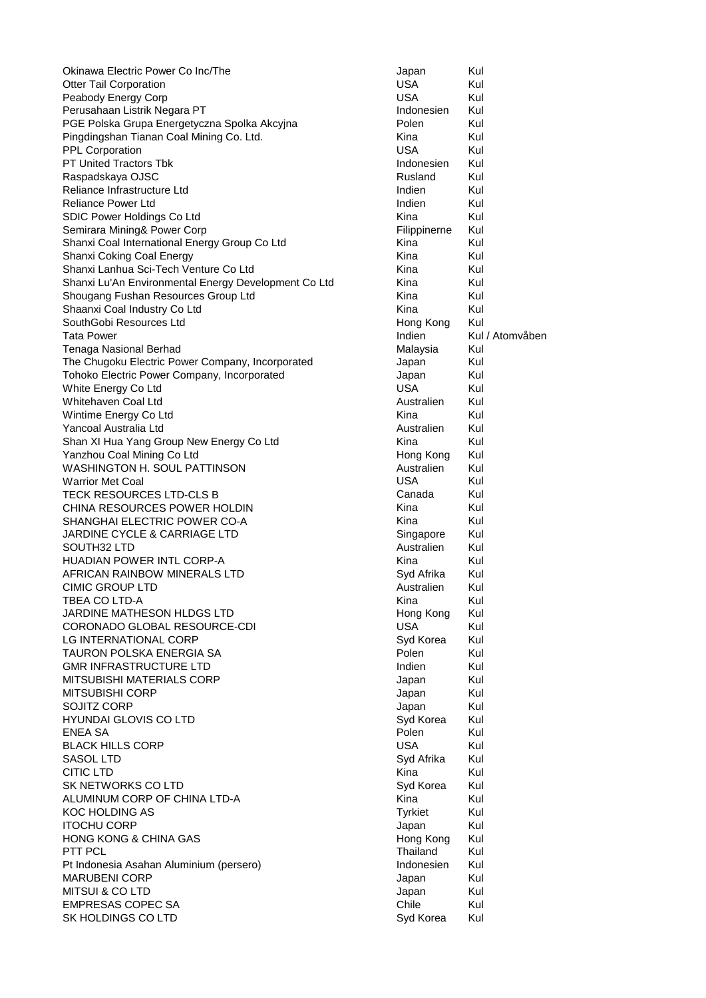Okinawa Electric Power Co Inc/The **Communist Communist Communist Communist Communist Communist Communist Communist** Communist Communist Communist Communist Communist Communist Communist Communist Communist Communist Commun Otter Tail Corporation **Community** Content of the USA Kul Peabody Energy Corp **Network** Corp **USA** Kul Perusahaan Listrik Negara PT **Indonesien** Kul PGE Polska Grupa Energetyczna Spolka Akcyjna **Polen Kul** Polen Kul Pingdingshan Tianan Coal Mining Co. Ltd. Kina Kul PPL Corporation **EXECUTE:** The USA Kull PT United Tractors Tbk **Corporation** USA Kull PT United Tractors Tbk Cull PT United Tractors Tbk Cull PT United Tractors Tbk Cull PT United Tractors Tbk Cull PT United Tractors Tbk C PT United Tractors Tbk **Indonesien** Kul Raspadskaya OJSC **Rusland Kulland** Kulland Kulland Kulland Kulland Kulland Kulland Kulland Kulland Kulland Kull Reliance Infrastructure Ltd **Indien** Kul Reliance Power Ltd **Indien** Kul SDIC Power Holdings Co Ltd Kina Kul Semirara Mining& Power Corp Filippinerne Kul Shanxi Coal International Energy Group Co Ltd Kina Kina Kul Shanxi Coking Coal Energy **Kina Kultura Kultura Kultura Kultura Kultura Kultura Kultura Kultura Kultura Kultura** Shanxi Lanhua Sci-Tech Venture Co Ltd **Kina Kullah Kullah Kullah Kullah Kullah Kul**lah Kul Shanxi Lu'An Environmental Energy Development Co Ltd Kina Kul Shougang Fushan Resources Group Ltd Kina Kul Shaanxi Coal Industry Co Ltd **Kina Kull Communist Coal Industry Co Ltd** Kull **Kull Communist Coal August** Kull Kul SouthGobi Resources Ltd **Hong Kong Kull** Hong Kong Kul Tata Power **Indian Kul / Atomvåben** Kul / Atomvåben Tenaga Nasional Berhad Malaysia Kul The Chugoku Electric Power Company, Incorporated Supervisor and Supervisor and Kul Tohoko Electric Power Company, Incorporated and Japan Japan Kul<br>White Energy Co Ltd Guld White Energy Co Ltd **USA** Kul Whitehaven Coal Ltd **Australien** Kul Wintime Energy Co Ltd **Kina Kull Communist Communist Communist Communist Communist Communist Communist Communist Communist Communist Communist Communist Communist Communist Communist Communist Communist Communist Communist** Yancoal Australia Ltd **Australien** Kul Shan XI Hua Yang Group New Energy Co Ltd Kina Kul Yanzhou Coal Mining Co Ltd **Hong Kong Kull** Hong Kong Kul WASHINGTON H. SOUL PATTINSON **Australien** Kul Warrior Met Coal **Warrior Met Coal** Number 2012 12:30 Number 2014 12:30 Number 2014 12:30 Number 2014 12:30 Number 2014 12:30 Number 2014 12:30 Number 2014 12:30 Number 2014 12:30 Number 2014 12:30 Number 2014 12:30 Number TECK RESOURCES LTD-CLS B Canada Kul CHINA RESOURCES POWER HOLDIN THE RESOURCES POWER HOLDIN SHANGHAI ELECTRIC POWER CO-A Kina Kina Kul JARDINE CYCLE & CARRIAGE LTD Singapore Kul SOUTH32 LTD **Australien** Kul HUADIAN POWER INTL CORP-A Kina Kul AFRICAN RAINBOW MINERALS LTD Syd Afrika Kul CIMIC GROUP LTD **Australien** Kul TBEA CO LTD-A **Kina Kultura Kultura Kultura Kultura Kultura Kultura Kultura Kultura Kultura Kultura Kultura Ku** JARDINE MATHESON HLDGS LTD Hong Kong Kul CORONADO GLOBAL RESOURCE-CDI USA Kul LG INTERNATIONAL CORP Syd Korea Kul TAURON POLSKA ENERGIA SA POLEN Polen Kul GMR INFRASTRUCTURE LTD **Indien** Kul MITSUBISHI MATERIALS CORP **Grade Contract Contract Contract Contract Contract Contract Contract Contract Contract Contract Contract Contract Contract Contract Contract Contract Contract Contract Contract Contract Contract** MITSUBISHI CORP **Japan Kultur Kultur Kultur Kultur Kultur** Austria Austria Austria Austria Austria Austria Austria SOJITZ CORP **SOJITZ** CORP HYUNDAI GLOVIS CO LTD Syd Korea Kul ENEA SA Polen Kul BLACK HILLS CORP **USA** Kul SASOL LTD Syd Afrika Kul CITIC LTD **Kina Kultur** Kultur Kultur Kultur Kultur Kultur Kultur Kultur Kultur Kultur Kultur Kultur Kultur Kultur SK NETWORKS CO LTD Syd Korea Kul ALUMINUM CORP OF CHINA LTD-A Kina Kina Kul KOC HOLDING AS **Tyrkiet** Kul ITOCHU CORP **Japan Kul** HONG KONG & CHINA GAS **Hong Kong Kultura Kultura Kong Kultura** Kultura Kong Kultura Kultura Kultura Kultura Kultura Kultura Kultura Kultura Kultura Kultura Kultura Kultura Kultura Kultura Kultura Kultura Kultura Kultura Ku PTT PCL **Thailand** Kul Pt Indonesia Asahan Aluminium (persero) and a subsetting a late of the Indonesien Kul MARUBENI CORP **Japan Kulokat Kulokat Kulokat Kulokat Kulokat Kulokat Kulokat Kulokat Kulokat Kulokat Kulokat Ku** MITSUI & CO LTD **And Account Contact Contact Contact Contact Contact Contact Contact Contact Contact Contact Contact Contact Contact Contact Contact Contact Contact Contact Contact Contact Contact Contact Contact Contact C** EMPRESAS COPEC SA CHILE CHILE CHILE CHILE Kul SK HOLDINGS CO LTD SK HOLDINGS CO LTD